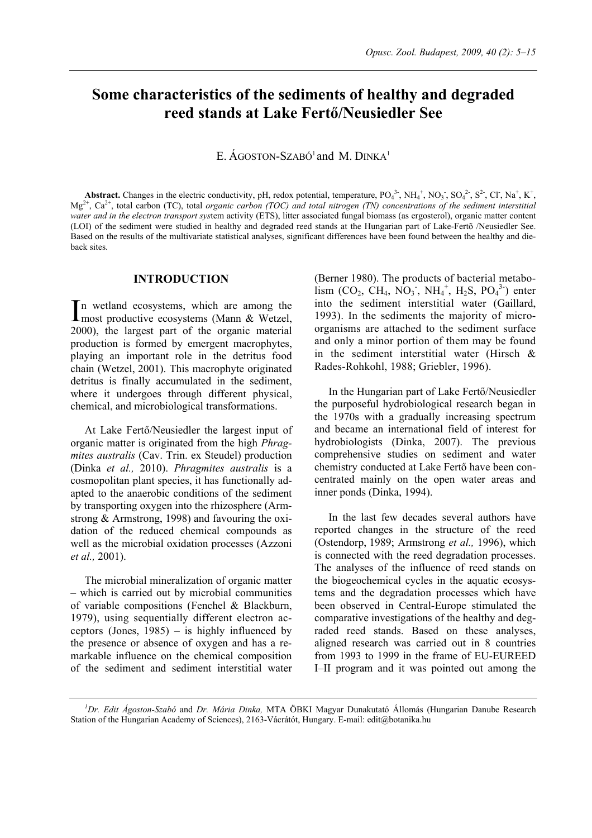# **Some characteristics of the sediments of healthy and degraded reed stands at Lake Fertő/Neusiedler See**

E.  $\angle$ AGOSTON-SZABÓ<sup>1</sup> and M. DINKA<sup>1</sup>

**Abstract.** Changes in the electric conductivity, pH, redox potential, temperature,  $PO_4^3$ ,  $NH_4^+$ ,  $NO_3$ ,  $SO_4^2$ ,  $S^2$ , Cl,  $Na^+$ ,  $K^+$ ,  $Mg^{2+}$ , Ca<sup>2+</sup>, total carbon (TC), total *organic carbon (TOC) and total nitrogen (TN) concentrations of the sediment interstitial water and in the electron transport sys*tem activity (ETS), litter associated fungal biomass (as ergosterol), organic matter content (LOI) of the sediment were studied in healthy and degraded reed stands at the Hungarian part of Lake-Fertõ /Neusiedler See. Based on the results of the multivariate statistical analyses, significant differences have been found between the healthy and dieback sites.

## **INTRODUCTION**

n wetland ecosystems, which are among the In wetland ecosystems, which are among the<br>most productive ecosystems (Mann & Wetzel, 2000), the largest part of the organic material production is formed by emergent macrophytes, playing an important role in the detritus food chain (Wetzel, 2001). This macrophyte originated detritus is finally accumulated in the sediment, where it undergoes through different physical, chemical, and microbiological transformations.

At Lake Fertő/Neusiedler the largest input of organic matter is originated from the high *Phragmites australis* (Cav. Trin. ex Steudel) production (Dinka *et al.,* 2010). *Phragmites australis* is a cosmopolitan plant species, it has functionally adapted to the anaerobic conditions of the sediment by transporting oxygen into the rhizosphere (Armstrong & Armstrong, 1998) and favouring the oxidation of the reduced chemical compounds as well as the microbial oxidation processes (Azzoni *et al.,* 2001).

The microbial mineralization of organic matter – which is carried out by microbial communities of variable compositions (Fenchel & Blackburn, 1979), using sequentially different electron acceptors (Jones, 1985) – is highly influenced by the presence or absence of oxygen and has a remarkable influence on the chemical composition of the sediment and sediment interstitial water

(Berner 1980). The products of bacterial metabo- $\lim_{\text{lim}}$  (CO<sub>2</sub>, CH<sub>4</sub>, NO<sub>3</sub><sup>-</sup>, NH<sub>4</sub><sup>+</sup>, H<sub>2</sub>S, PO<sub>4</sub><sup>3</sup><sup>-</sup>) enter into the sediment interstitial water (Gaillard, 1993). In the sediments the majority of microorganisms are attached to the sediment surface and only a minor portion of them may be found in the sediment interstitial water (Hirsch & Rades-Rohkohl, 1988; Griebler, 1996).

In the Hungarian part of Lake Fertő/Neusiedler the purposeful hydrobiological research began in the 1970s with a gradually increasing spectrum and became an international field of interest for hydrobiologists (Dinka, 2007). The previous comprehensive studies on sediment and water chemistry conducted at Lake Fertő have been concentrated mainly on the open water areas and inner ponds (Dinka, 1994).

In the last few decades several authors have reported changes in the structure of the reed (Ostendorp, 1989; Armstrong *et al.,* 1996), which is connected with the reed degradation processes. The analyses of the influence of reed stands on the biogeochemical cycles in the aquatic ecosystems and the degradation processes which have been observed in Central-Europe stimulated the comparative investigations of the healthy and degraded reed stands. Based on these analyses, aligned research was carried out in 8 countries from 1993 to 1999 in the frame of EU-EUREED I–II program and it was pointed out among the

*<sup>1</sup> Dr. Edit Ágoston-Szabó* and *Dr. Mária Dinka,* MTA ÖBKI Magyar Dunakutató Állomás (Hungarian Danube Research Station of the Hungarian Academy of Sciences), 2163-Vácrátót, Hungary. E-mail: edit@botanika.hu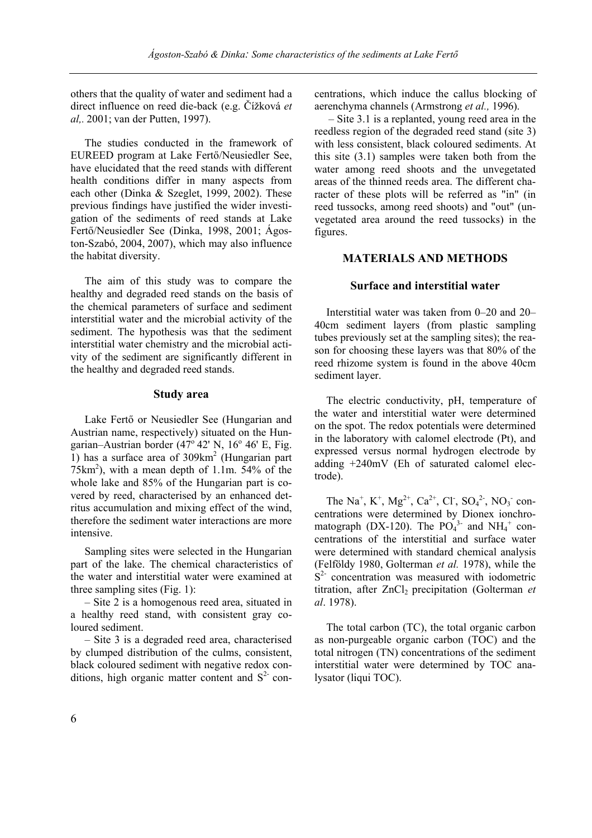others that the quality of water and sediment had a direct influence on reed die-back (e.g. Čížková *et al,.* 2001; van der Putten, 1997).

The studies conducted in the framework of EUREED program at Lake Fertő/Neusiedler See, have elucidated that the reed stands with different health conditions differ in many aspects from each other (Dinka & Szeglet, 1999, 2002). These previous findings have justified the wider investigation of the sediments of reed stands at Lake Fertő/Neusiedler See (Dinka, 1998, 2001; Ágoston-Szabó, 2004, 2007), which may also influence the habitat diversity.

The aim of this study was to compare the healthy and degraded reed stands on the basis of the chemical parameters of surface and sediment interstitial water and the microbial activity of the sediment. The hypothesis was that the sediment interstitial water chemistry and the microbial activity of the sediment are significantly different in the healthy and degraded reed stands.

## **Study area**

Lake Fertő or Neusiedler See (Hungarian and Austrian name, respectively) situated on the Hungarian–Austrian border  $(47^\circ 42'$  N,  $16^\circ 46'$  E, Fig. 1) has a surface area of 309km<sup>2</sup> (Hungarian part  $75 \text{km}^2$ ), with a mean depth of 1.1m.  $54\%$  of the whole lake and 85% of the Hungarian part is covered by reed, characterised by an enhanced detritus accumulation and mixing effect of the wind, therefore the sediment water interactions are more intensive.

Sampling sites were selected in the Hungarian part of the lake. The chemical characteristics of the water and interstitial water were examined at three sampling sites (Fig. 1):

– Site 2 is a homogenous reed area, situated in a healthy reed stand, with consistent gray coloured sediment.

– Site 3 is a degraded reed area, characterised by clumped distribution of the culms, consistent, black coloured sediment with negative redox conditions, high organic matter content and  $S<sup>2</sup>$  concentrations, which induce the callus blocking of aerenchyma channels (Armstrong *et al.,* 1996).

– Site 3.1 is a replanted, young reed area in the reedless region of the degraded reed stand (site 3) with less consistent, black coloured sediments. At this site (3.1) samples were taken both from the water among reed shoots and the unvegetated areas of the thinned reeds area. The different character of these plots will be referred as "in" (in reed tussocks, among reed shoots) and "out" (unvegetated area around the reed tussocks) in the figures.

# **MATERIALS AND METHODS**

# **Surface and interstitial water**

Interstitial water was taken from 0–20 and 20– 40cm sediment layers (from plastic sampling tubes previously set at the sampling sites); the reason for choosing these layers was that 80% of the reed rhizome system is found in the above 40cm sediment layer.

The electric conductivity, pH, temperature of the water and interstitial water were determined on the spot. The redox potentials were determined in the laboratory with calomel electrode (Pt), and expressed versus normal hydrogen electrode by adding +240mV (Eh of saturated calomel electrode).

The Na<sup>+</sup>, K<sup>+</sup>, Mg<sup>2+</sup>, Ca<sup>2+</sup>, Cl<sup>-</sup>, SO<sub>4</sub><sup>2-</sup>, NO<sub>3</sub><sup>-</sup> concentrations were determined by Dionex ionchromatograph (DX-120). The  $PO<sub>4</sub><sup>3</sup>$  and NH<sub>4</sub><sup>+</sup> concentrations of the interstitial and surface water were determined with standard chemical analysis (Felföldy 1980, Golterman *et al.* 1978), while the  $S<sup>2</sup>$  concentration was measured with iodometric titration, after ZnCl<sub>2</sub> precipitation (Golterman *et al*. 1978).

The total carbon (TC), the total organic carbon as non-purgeable organic carbon (TOC) and the total nitrogen (TN) concentrations of the sediment interstitial water were determined by TOC analysator (liqui TOC).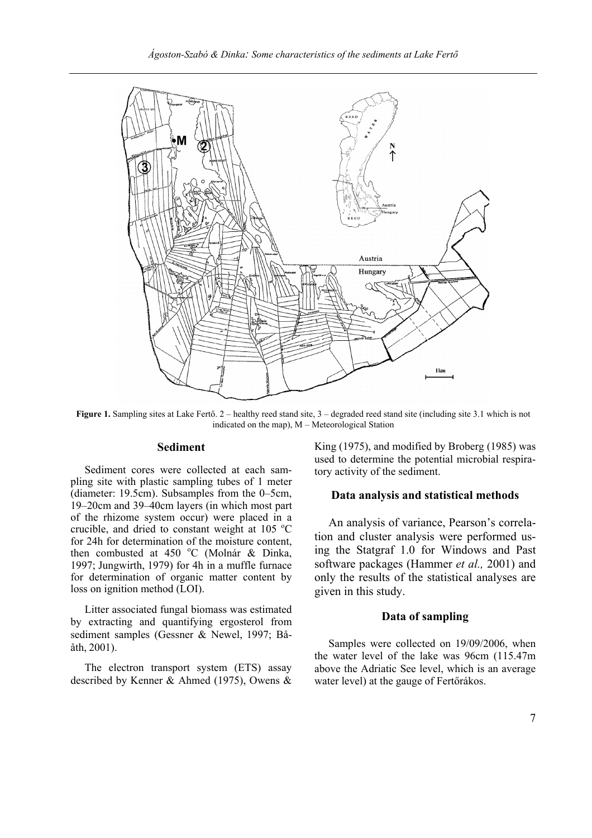

**Figure 1.** Sampling sites at Lake Fertő. 2 – healthy reed stand site, 3 – degraded reed stand site (including site 3.1 which is not indicated on the map), M – Meteorological Station

## **Sediment**

Sediment cores were collected at each sampling site with plastic sampling tubes of 1 meter (diameter: 19.5cm). Subsamples from the 0–5cm, 19–20cm and 39–40cm layers (in which most part of the rhizome system occur) were placed in a crucible, and dried to constant weight at 105  $^{\circ}$ C for 24h for determination of the moisture content, then combusted at 450 °C (Molnár & Dinka, 1997; Jungwirth, 1979) for 4h in a muffle furnace for determination of organic matter content by loss on ignition method (LOI).

Litter associated fungal biomass was estimated by extracting and quantifying ergosterol from sediment samples (Gessner & Newel, 1997; Bååth, 2001).

The electron transport system (ETS) assay described by Kenner & Ahmed (1975), Owens & King (1975), and modified by Broberg (1985) was used to determine the potential microbial respiratory activity of the sediment.

# **Data analysis and statistical methods**

An analysis of variance, Pearson's correlation and cluster analysis were performed using the Statgraf 1.0 for Windows and Past software packages (Hammer *et al.,* 2001) and only the results of the statistical analyses are given in this study.

## **Data of sampling**

Samples were collected on 19/09/2006, when the water level of the lake was 96cm (115.47m above the Adriatic See level, which is an average water level) at the gauge of Fertőrákos.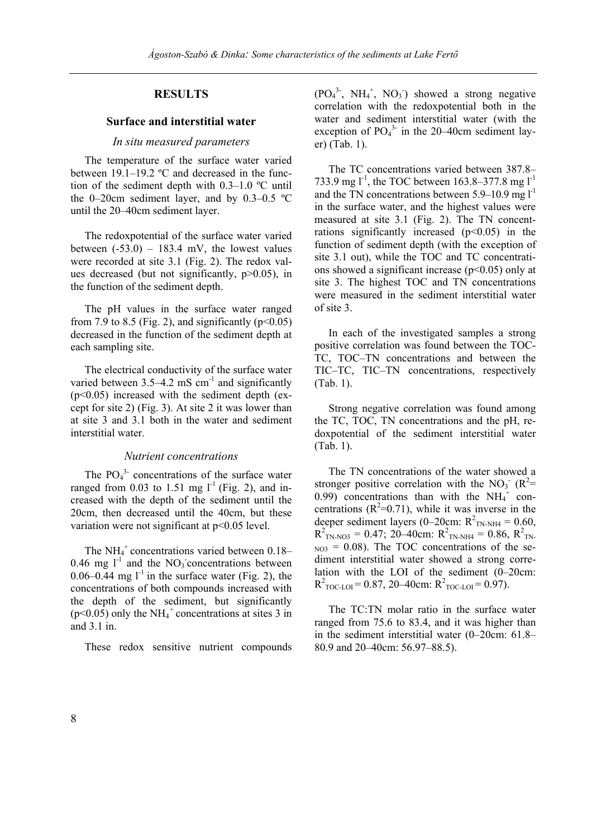# **RESULTS**

#### **Surface and interstitial water**

#### *In situ measured parameters*

The temperature of the surface water varied between 19.1–19.2 ºC and decreased in the function of the sediment depth with 0.3–1.0 ºC until the 0–20cm sediment layer, and by 0.3–0.5 ºC until the 20–40cm sediment layer.

The redoxpotential of the surface water varied between  $(-53.0) - 183.4$  mV, the lowest values were recorded at site 3.1 (Fig. 2). The redox values decreased (but not significantly, p>0.05), in the function of the sediment depth.

The pH values in the surface water ranged from 7.9 to 8.5 (Fig. 2), and significantly ( $p<0.05$ ) decreased in the function of the sediment depth at each sampling site.

The electrical conductivity of the surface water varied between  $3.5-4.2 \text{ mS cm}^{-1}$  and significantly  $(p<0.05)$  increased with the sediment depth (except for site 2) (Fig. 3). At site 2 it was lower than at site 3 and 3.1 both in the water and sediment interstitial water.

#### *Nutrient concentrations*

The  $PO_4^3$ - concentrations of the surface water ranged from 0.03 to 1.51 mg  $l^{-1}$  (Fig. 2), and increased with the depth of the sediment until the 20cm, then decreased until the 40cm, but these variation were not significant at p<0.05 level.

The  $NH_4^+$  concentrations varied between 0.18– 0.46 mg  $l^{-1}$  and the NO<sub>3</sub> concentrations between  $0.06-0.44$  mg l<sup>-1</sup> in the surface water (Fig. 2), the concentrations of both compounds increased with the depth of the sediment, but significantly  $(p<0.05)$  only the NH<sub>4</sub><sup>+</sup> concentrations at sites 3 in and 3.1 in.

These redox sensitive nutrient compounds

 $(PO_4^3$ <sup>-</sup>, NH<sub>4</sub><sup>+</sup>, NO<sub>3</sub><sup>-</sup>) showed a strong negative correlation with the redoxpotential both in the water and sediment interstitial water (with the exception of  $PO<sub>4</sub><sup>3</sup>$  in the 20–40cm sediment layer) (Tab. 1).

The TC concentrations varied between 387.8– 733.9 mg  $l^{-1}$ , the TOC between 163.8–377.8 mg  $l^{-1}$ and the TN concentrations between  $5.9-10.9$  mg  $l^{-1}$ in the surface water, and the highest values were measured at site 3.1 (Fig. 2). The TN concentrations significantly increased  $(p<0.05)$  in the function of sediment depth (with the exception of site 3.1 out), while the TOC and TC concentrations showed a significant increase  $(p<0.05)$  only at site 3. The highest TOC and TN concentrations were measured in the sediment interstitial water of site 3.

In each of the investigated samples a strong positive correlation was found between the TOC-TC, TOC–TN concentrations and between the TIC–TC, TIC–TN concentrations, respectively (Tab. 1).

Strong negative correlation was found among the TC, TOC, TN concentrations and the pH, redoxpotential of the sediment interstitial water (Tab. 1).

The TN concentrations of the water showed a stronger positive correlation with the  $NO_3$ <sup>-</sup> ( $R^2$ = 0.99) concentrations than with the  $NH_4^+$  concentrations  $(R^2=0.71)$ , while it was inverse in the deeper sediment layers (0–20cm:  $R^2_{TN-NH4} = 0.60$ ,  $R^{2}$ <sub>TN-NO3</sub> = 0.47; 20–40cm:  $R^{2}$ <sub>TN-NH4</sub> = 0.86,  $R^{2}$ <sub>TN-</sub>  $_{NO3}$  = 0.08). The TOC concentrations of the sediment interstitial water showed a strong correlation with the LOI of the sediment (0–20cm:  $R^{2}$ <sub>TOC-LOI</sub> = 0.87, 20–40cm:  $R^{2}$ <sub>TOC-LOI</sub> = 0.97).

The TC:TN molar ratio in the surface water ranged from 75.6 to 83.4, and it was higher than in the sediment interstitial water (0–20cm: 61.8– 80.9 and 20–40cm: 56.97–88.5).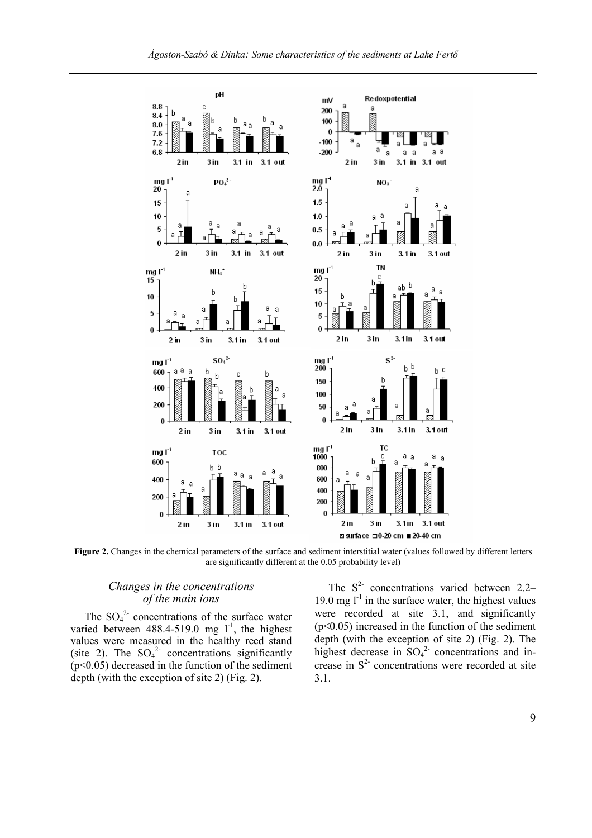

**Figure 2.** Changes in the chemical parameters of the surface and sediment interstitial water (values followed by different letters are significantly different at the 0.05 probability level)

## *Changes in the concentrations of the main ions*

The  $SO_4^2$  concentrations of the surface water varied between  $488.4-519.0$  mg  $1^{-1}$ , the highest values were measured in the healthy reed stand (site 2). The  $SO_4^2$  concentrations significantly  $(p<0.05)$  decreased in the function of the sediment depth (with the exception of site 2) (Fig. 2).

The  $S<sup>2</sup>$  concentrations varied between 2.2– 19.0 mg  $l^{-1}$  in the surface water, the highest values were recorded at site 3.1, and significantly  $(p<0.05)$  increased in the function of the sediment depth (with the exception of site 2) (Fig. 2). The highest decrease in  $SO_4^2$  concentrations and increase in  $S<sup>2</sup>$  concentrations were recorded at site 3.1.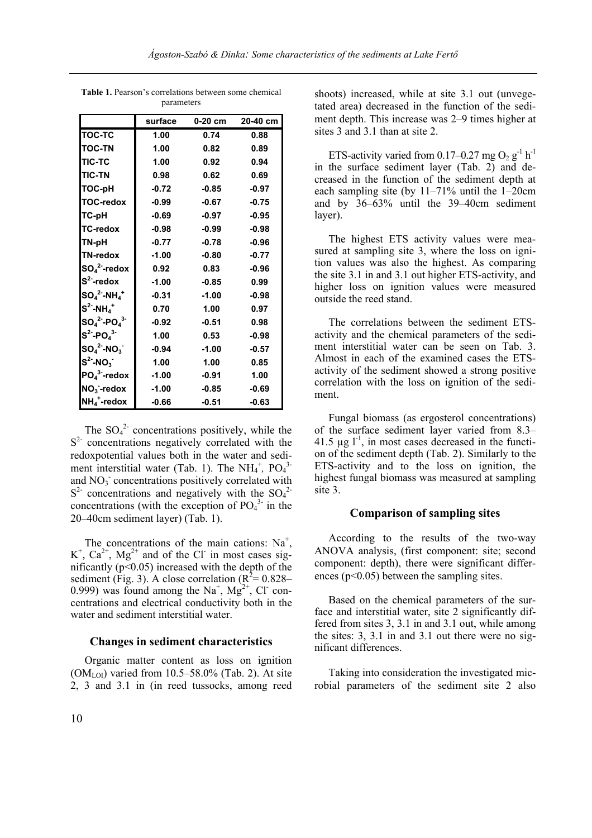|                                          | surface | 0-20 cm | 20-40 cm |
|------------------------------------------|---------|---------|----------|
| <b>TOC-TC</b>                            | 1.00    | 0.74    | 0.88     |
| <b>TOC-TN</b>                            | 1.00    | 0.82    | 0.89     |
| <b>TIC-TC</b>                            | 1.00    | 0.92    | 0.94     |
| <b>TIC-TN</b>                            | 0.98    | 0.62    | 0.69     |
| TOC-pH                                   | $-0.72$ | $-0.85$ | $-0.97$  |
| <b>TOC-redox</b>                         | $-0.99$ | $-0.67$ | $-0.75$  |
| TC-pH                                    | $-0.69$ | $-0.97$ | $-0.95$  |
| <b>TC-redox</b>                          | $-0.98$ | $-0.99$ | $-0.98$  |
| TN-pH                                    | $-0.77$ | $-0.78$ | $-0.96$  |
| <b>TN-redox</b>                          | $-1.00$ | $-0.80$ | $-0.77$  |
| $SO_4^2$ -redox                          | 0.92    | 0.83    | $-0.96$  |
| $S^2$ -redox                             | $-1.00$ | $-0.85$ | 0.99     |
| $\mathsf{SO_4}^2\text{-}\mathsf{NH_4}^+$ | $-0.31$ | $-1.00$ | $-0.98$  |
| $S^2$ -NH $_4^+$                         | 0.70    | 1.00    | 0.97     |
| $SO_4^2$ -P $O_4^3$                      | $-0.92$ | $-0.51$ | 0.98     |
| $S^2$ -PO $_4^3$ -                       | 1.00    | 0.53    | $-0.98$  |
| $SO_4^2$ -NO <sub>3</sub>                | $-0.94$ | $-1.00$ | $-0.57$  |
| $S^2$ -NO <sub>3</sub>                   | 1.00    | 1.00    | 0.85     |
| $PO43$ -redox                            | $-1.00$ | $-0.91$ | 1.00     |
| $NO3$ -redox                             | $-1.00$ | $-0.85$ | $-0.69$  |
| $NH_4^+$ -redox                          | -0.66   | $-0.51$ | $-0.63$  |

**Table 1.** Pearson's correlations between some chemical parameters

The  $SO_4^2$  concentrations positively, while the  $S<sup>2</sup>$  concentrations negatively correlated with the redoxpotential values both in the water and sediment interstitial water (Tab. 1). The  $NH_4^+$ ,  $PO_4^3$ and NO<sub>3</sub> concentrations positively correlated with  $S<sup>2</sup>$  concentrations and negatively with the SO<sub>4</sub><sup>2</sup>concentrations (with the exception of  $PO<sub>4</sub><sup>3</sup>$  in the 20–40cm sediment layer) (Tab. 1).

The concentrations of the main cations:  $Na<sup>+</sup>$ ,  $K^+$ ,  $Ca^{2+}$ ,  $Mg^{2+}$  and of the Cl in most cases significantly  $(p<0.05)$  increased with the depth of the sediment (Fig. 3). A close correlation ( $R^2$ = 0.828– 0.999) was found among the Na<sup>+</sup>, Mg<sup>2+</sup>, Cl<sup>-</sup> concentrations and electrical conductivity both in the water and sediment interstitial water.

#### **Changes in sediment characteristics**

Organic matter content as loss on ignition  $(OM<sub>LOI</sub>)$  varied from 10.5–58.0% (Tab. 2). At site 2, 3 and 3.1 in (in reed tussocks, among reed shoots) increased, while at site 3.1 out (unvegetated area) decreased in the function of the sediment depth. This increase was 2–9 times higher at sites 3 and 3.1 than at site 2.

ETS-activity varied from 0.17–0.27 mg  $O_2$  g<sup>-1</sup> h<sup>-1</sup> in the surface sediment layer (Tab. 2) and decreased in the function of the sediment depth at each sampling site (by 11–71% until the 1–20cm and by 36–63% until the 39–40cm sediment layer).

The highest ETS activity values were measured at sampling site 3, where the loss on ignition values was also the highest. As comparing the site 3.1 in and 3.1 out higher ETS-activity, and higher loss on ignition values were measured outside the reed stand.

The correlations between the sediment ETSactivity and the chemical parameters of the sediment interstitial water can be seen on Tab. 3. Almost in each of the examined cases the ETSactivity of the sediment showed a strong positive correlation with the loss on ignition of the sediment.

Fungal biomass (as ergosterol concentrations) of the surface sediment layer varied from 8.3– 41.5  $\mu$ g l<sup>-1</sup>, in most cases decreased in the function of the sediment depth (Tab. 2). Similarly to the ETS-activity and to the loss on ignition, the highest fungal biomass was measured at sampling site 3.

## **Comparison of sampling sites**

According to the results of the two-way ANOVA analysis, (first component: site; second component: depth), there were significant differences (p<0.05) between the sampling sites.

Based on the chemical parameters of the surface and interstitial water, site 2 significantly differed from sites 3, 3.1 in and 3.1 out, while among the sites: 3, 3.1 in and 3.1 out there were no significant differences.

Taking into consideration the investigated microbial parameters of the sediment site 2 also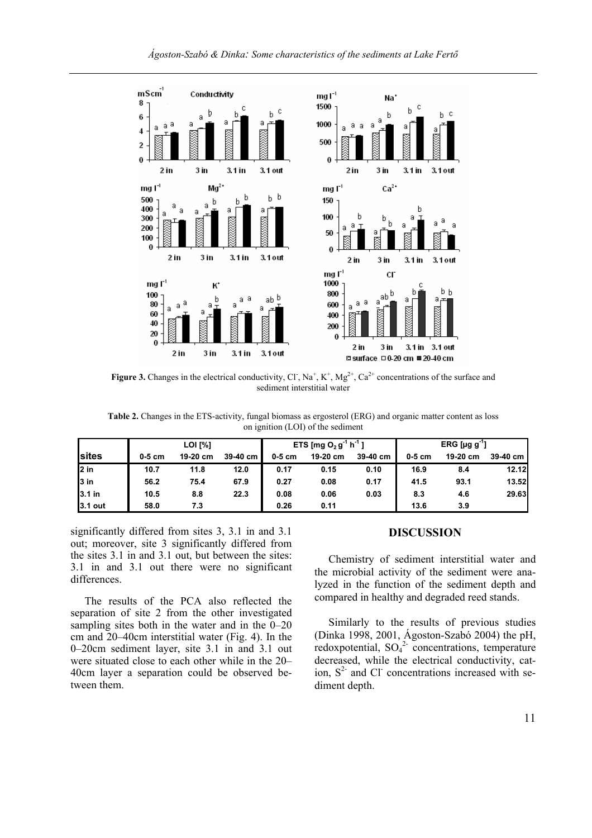

**Figure 3.** Changes in the electrical conductivity, Cl,  $\text{Na}^+$ ,  $\text{K}^+$ ,  $\text{Mg}^{2+}$ ,  $\text{Ca}^{2+}$  concentrations of the surface and sediment interstitial water

**Table 2.** Changes in the ETS-activity, fungal biomass as ergosterol (ERG) and organic matter content as loss on ignition (LOI) of the sediment

|                | LOI [%]  |          |          | <b>ETS</b> [mg O <sub>2</sub> g <sup>-1</sup> h <sup>-1</sup> ) |          | ERG [µg $g^{-1}$ ] |          |          |          |
|----------------|----------|----------|----------|-----------------------------------------------------------------|----------|--------------------|----------|----------|----------|
| Isites         | $0-5$ cm | 19-20 cm | 39-40 cm | $0-5$ cm                                                        | 19-20 cm | 39-40 cm           | $0-5$ cm | 19-20 cm | 39-40 cm |
| 2 in           | 10.7     | 11.8     | 12.0     | 0.17                                                            | 0.15     | 0.10               | 16.9     | 8.4      | 12.12    |
| l3 in          | 56.2     | 75.4     | 67.9     | 0.27                                                            | 0.08     | 0.17               | 41.5     | 93.1     | 13.52    |
| <b>3.1</b> in  | 10.5     | 8.8      | 22.3     | 0.08                                                            | 0.06     | 0.03               | 8.3      | 4.6      | 29.63    |
| <b>3.1 out</b> | 58.0     | 7.3      |          | 0.26                                                            | 0.11     |                    | 13.6     | 3.9      |          |

significantly differed from sites 3, 3.1 in and 3.1 out; moreover, site 3 significantly differed from the sites 3.1 in and 3.1 out, but between the sites: 3.1 in and 3.1 out there were no significant differences.

The results of the PCA also reflected the separation of site 2 from the other investigated sampling sites both in the water and in the 0–20 cm and 20–40cm interstitial water (Fig. 4). In the 0–20cm sediment layer, site 3.1 in and 3.1 out were situated close to each other while in the 20– 40cm layer a separation could be observed between them.

# **DISCUSSION**

Chemistry of sediment interstitial water and the microbial activity of the sediment were analyzed in the function of the sediment depth and compared in healthy and degraded reed stands.

Similarly to the results of previous studies (Dinka 1998, 2001, Ágoston-Szabó 2004) the pH, redoxpotential,  $SO_4^2$  concentrations, temperature decreased, while the electrical conductivity, cation,  $S<sup>2</sup>$  and Cl<sup>-</sup> concentrations increased with sediment depth.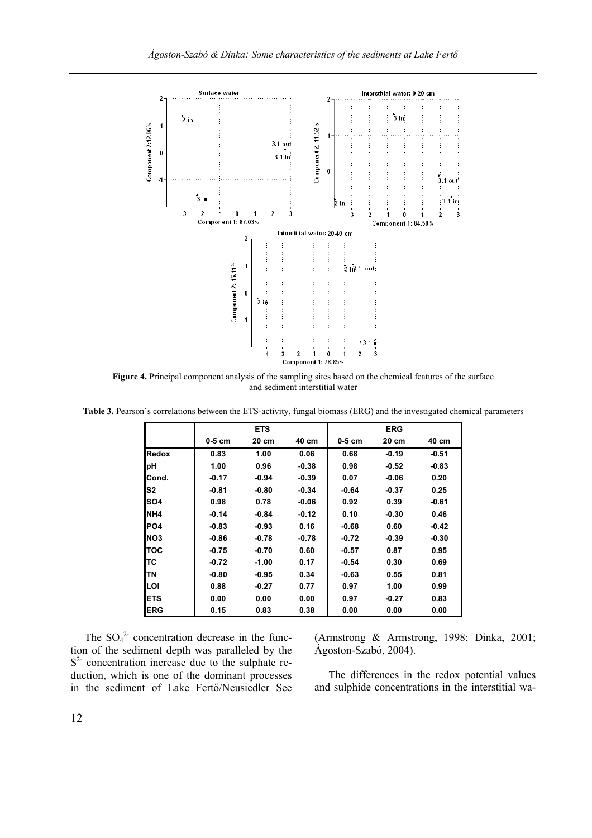

**Figure 4.** Principal component analysis of the sampling sites based on the chemical features of the surface and sediment interstitial water

**Table 3.** Pearson's correlations between the ETS-activity, fungal biomass (ERG) and the investigated chemical parameters

|                 |          | <b>ETS</b> |         |          | <b>ERG</b> |         |
|-----------------|----------|------------|---------|----------|------------|---------|
|                 | $0-5$ cm | 20 cm      | 40 cm   | $0-5$ cm | 20 cm      | 40 cm   |
| <b>Redox</b>    | 0.83     | 1.00       | 0.06    | 0.68     | $-0.19$    | $-0.51$ |
| рH              | 1.00     | 0.96       | $-0.38$ | 0.98     | $-0.52$    | $-0.83$ |
| ICond.          | -0.17    | $-0.94$    | $-0.39$ | 0.07     | -0.06      | 0.20    |
| S <sub>2</sub>  | $-0.81$  | $-0.80$    | $-0.34$ | $-0.64$  | $-0.37$    | 0.25    |
| ISO4            | 0.98     | 0.78       | $-0.06$ | 0.92     | 0.39       | $-0.61$ |
| <b>NH4</b>      | $-0.14$  | $-0.84$    | $-0.12$ | 0.10     | $-0.30$    | 0.46    |
| <b>IPO4</b>     | $-0.83$  | $-0.93$    | 0.16    | $-0.68$  | 0.60       | $-0.42$ |
| NO <sub>3</sub> | $-0.86$  | $-0.78$    | $-0.78$ | $-0.72$  | $-0.39$    | $-0.30$ |
| ltoc            | $-0.75$  | $-0.70$    | 0.60    | $-0.57$  | 0.87       | 0.95    |
| lTC             | -0.72    | $-1.00$    | 0.17    | $-0.54$  | 0.30       | 0.69    |
| lTN             | -0.80    | $-0.95$    | 0.34    | $-0.63$  | 0.55       | 0.81    |
| ILOI            | 0.88     | $-0.27$    | 0.77    | 0.97     | 1.00       | 0.99    |
| IETS            | 0.00     | 0.00       | 0.00    | 0.97     | $-0.27$    | 0.83    |
| <b>IERG</b>     | 0.15     | 0.83       | 0.38    | 0.00     | 0.00       | 0.00    |

The  $SO_4^2$  concentration decrease in the function of the sediment depth was paralleled by the  $S<sup>2</sup>$  concentration increase due to the sulphate reduction, which is one of the dominant processes in the sediment of Lake Fertő/Neusiedler See

(Armstrong & Armstrong, 1998; Dinka, 2001; Ágoston-Szabó, 2004).

The differences in the redox potential values and sulphide concentrations in the interstitial wa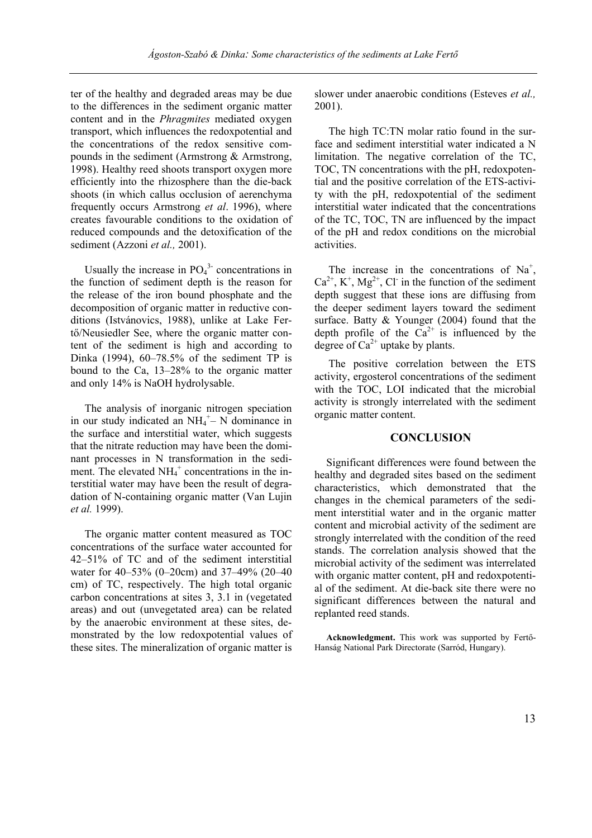ter of the healthy and degraded areas may be due to the differences in the sediment organic matter content and in the *Phragmites* mediated oxygen transport, which influences the redoxpotential and the concentrations of the redox sensitive compounds in the sediment (Armstrong & Armstrong, 1998). Healthy reed shoots transport oxygen more efficiently into the rhizosphere than the die-back shoots (in which callus occlusion of aerenchyma frequently occurs Armstrong *et al*. 1996), where creates favourable conditions to the oxidation of reduced compounds and the detoxification of the sediment (Azzoni *et al.,* 2001).

Usually the increase in  $PO<sub>4</sub><sup>3</sup>$  concentrations in the function of sediment depth is the reason for the release of the iron bound phosphate and the decomposition of organic matter in reductive conditions (Istvánovics, 1988), unlike at Lake Fertő/Neusiedler See, where the organic matter content of the sediment is high and according to Dinka (1994), 60–78.5% of the sediment TP is bound to the Ca, 13–28% to the organic matter and only 14% is NaOH hydrolysable.

The analysis of inorganic nitrogen speciation in our study indicated an  $NH_4^+$ – N dominance in the surface and interstitial water, which suggests that the nitrate reduction may have been the dominant processes in N transformation in the sediment. The elevated  $NH_4^+$  concentrations in the interstitial water may have been the result of degradation of N-containing organic matter (Van Lujin *et al.* 1999).

The organic matter content measured as TOC concentrations of the surface water accounted for 42–51% of TC and of the sediment interstitial water for 40–53% (0–20cm) and 37–49% (20–40 cm) of TC, respectively. The high total organic carbon concentrations at sites 3, 3.1 in (vegetated areas) and out (unvegetated area) can be related by the anaerobic environment at these sites, demonstrated by the low redoxpotential values of these sites. The mineralization of organic matter is

slower under anaerobic conditions (Esteves *et al.,* 2001).

The high TC:TN molar ratio found in the surface and sediment interstitial water indicated a N limitation. The negative correlation of the TC, TOC, TN concentrations with the pH, redoxpotential and the positive correlation of the ETS-activity with the pH, redoxpotential of the sediment interstitial water indicated that the concentrations of the TC, TOC, TN are influenced by the impact of the pH and redox conditions on the microbial activities.

The increase in the concentrations of  $Na<sup>+</sup>$ ,  $Ca^{2+}$ , K<sup>+</sup>, Mg<sup>2+</sup>, Cl<sup>-</sup> in the function of the sediment depth suggest that these ions are diffusing from the deeper sediment layers toward the sediment surface. Batty & Younger (2004) found that the depth profile of the  $Ca^{2+}$  is influenced by the degree of  $Ca^{2+}$  uptake by plants.

The positive correlation between the ETS activity, ergosterol concentrations of the sediment with the TOC, LOI indicated that the microbial activity is strongly interrelated with the sediment organic matter content.

## **CONCLUSION**

Significant differences were found between the healthy and degraded sites based on the sediment characteristics, which demonstrated that the changes in the chemical parameters of the sediment interstitial water and in the organic matter content and microbial activity of the sediment are strongly interrelated with the condition of the reed stands. The correlation analysis showed that the microbial activity of the sediment was interrelated with organic matter content, pH and redoxpotential of the sediment. At die-back site there were no significant differences between the natural and replanted reed stands.

**Acknowledgment.** This work was supported by Fertő-Hanság National Park Directorate (Sarród, Hungary).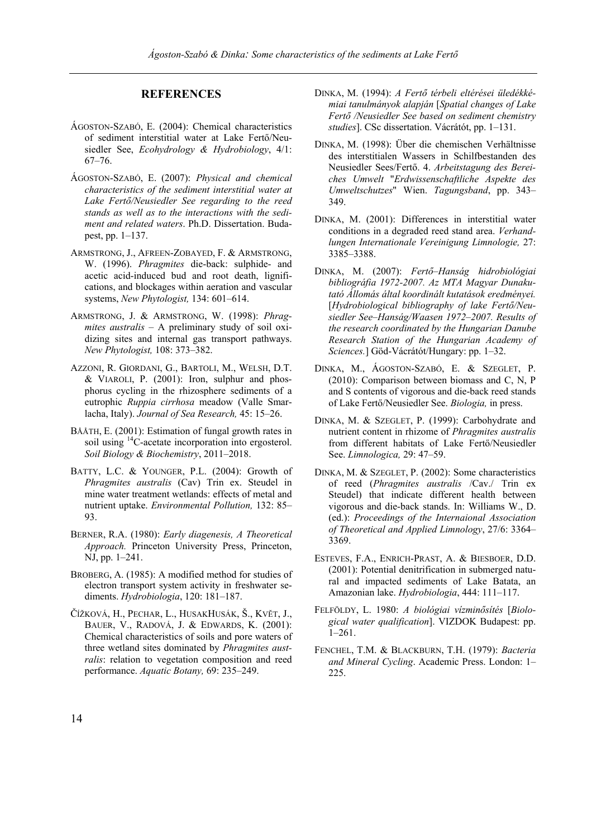# **REFERENCES**

- ÁGOSTON-SZABÓ, E. (2004): Chemical characteristics of sediment interstitial water at Lake Fertő/Neusiedler See, *Ecohydrology & Hydrobiology*, 4/1: 67–76.
- ÁGOSTON-SZABÓ, E. (2007): *Physical and chemical characteristics of the sediment interstitial water at Lake Fertő/Neusiedler See regarding to the reed stands as well as to the interactions with the sediment and related waters*. Ph.D. Dissertation. Budapest, pp. 1–137.
- ARMSTRONG, J., AFREEN-ZOBAYED, F. & ARMSTRONG, W. (1996). *Phragmites* die-back: sulphide- and acetic acid-induced bud and root death, lignifications, and blockages within aeration and vascular systems, *New Phytologist,* 134: 601–614.
- ARMSTRONG, J. & ARMSTRONG, W. (1998): *Phragmites australis* – A preliminary study of soil oxidizing sites and internal gas transport pathways. *New Phytologist,* 108: 373–382.
- AZZONI, R. GIORDANI, G., BARTOLI, M., WELSH, D.T. & VIAROLI, P. (2001): Iron, sulphur and phosphorus cycling in the rhizosphere sediments of a eutrophic *Ruppia cirrhosa* meadow (Valle Smarlacha, Italy). *Journal of Sea Research,* 45: 15–26.
- BÅÅTH, E. (2001): Estimation of fungal growth rates in soil using <sup>14</sup>C-acetate incorporation into ergosterol. *Soil Biology & Biochemistry*, 2011–2018.
- BATTY, L.C. & YOUNGER, P.L. (2004): Growth of *Phragmites australis* (Cav) Trin ex. Steudel in mine water treatment wetlands: effects of metal and nutrient uptake. *Environmental Pollution,* 132: 85– 93.
- BERNER, R.A. (1980): *Early diagenesis, A Theoretical Approach.* Princeton University Press, Princeton, NJ, pp. 1–241.
- BROBERG, A. (1985): A modified method for studies of electron transport system activity in freshwater sediments. *Hydrobiologia*, 120: 181–187.
- ČÍŽKOVÁ, H., PECHAR, L., HUSAKHUSÁK, Š., KVĔT, J., BAUER, V., RADOVÁ, J. & EDWARDS, K. (2001): Chemical characteristics of soils and pore waters of three wetland sites dominated by *Phragmites australis*: relation to vegetation composition and reed performance. *Aquatic Botany,* 69: 235–249.
- DINKA, M. (1994): *A Fertő térbeli eltérései üledékkémiai tanulmányok alapján* [*Spatial changes of Lake Fertő /Neusiedler See based on sediment chemistry studies*]. CSc dissertation. Vácrátót, pp. 1–131.
- DINKA, M. (1998): Über die chemischen Verhältnisse des interstitialen Wassers in Schilfbestanden des Neusiedler Sees/Fertő. 4. *Arbeitstagung des Bereiches Umwelt* "*Erdwissenschaftliche Aspekte des Umweltschutzes*" Wien. *Tagungsband*, pp. 343– 349.
- DINKA, M. (2001): Differences in interstitial water conditions in a degraded reed stand area. *Verhandlungen Internationale Vereinigung Limnologie,* 27: 3385–3388.
- DINKA, M. (2007): *Fertő–Hanság hidrobiológiai bibliográfia 1972-2007. Az MTA Magyar Dunakutató Állomás által koordinált kutatások eredményei.*  [*Hydrobiological bibliography of lake Fertő/Neusiedler See–Hanság/Waasen 1972–2007. Results of the research coordinated by the Hungarian Danube Research Station of the Hungarian Academy of Sciences.*] Göd-Vácrátót/Hungary: pp. 1–32.
- DINKA, M., ÁGOSTON-SZABÓ, E. & SZEGLET, P. (2010): Comparison between biomass and C, N, P and S contents of vigorous and die-back reed stands of Lake Fertő/Neusiedler See. *Biologia,* in press.
- DINKA, M. & SZEGLET, P. (1999): Carbohydrate and nutrient content in rhizome of *Phragmites australis* from different habitats of Lake Fertő/Neusiedler See. *Limnologica,* 29: 47–59.
- DINKA, M. & SZEGLET, P. (2002): Some characteristics of reed (*Phragmites australis* /Cav./ Trin ex Steudel) that indicate different health between vigorous and die-back stands. In: Williams W., D. (ed.): *Proceedings of the Internaional Association of Theoretical and Applied Limnology*, 27/6: 3364– 3369.
- ESTEVES, F.A., ENRICH-PRAST, A. & BIESBOER, D.D. (2001): Potential denitrification in submerged natural and impacted sediments of Lake Batata, an Amazonian lake. *Hydrobiologia*, 444: 111–117.
- FELFÖLDY, L. 1980: *A biológiai vízminősítés* [*Biological water qualification*]. VIZDOK Budapest: pp. 1–261.
- FENCHEL, T.M. & BLACKBURN, T.H. (1979): *Bacteria and Mineral Cycling*. Academic Press. London: 1– 225.